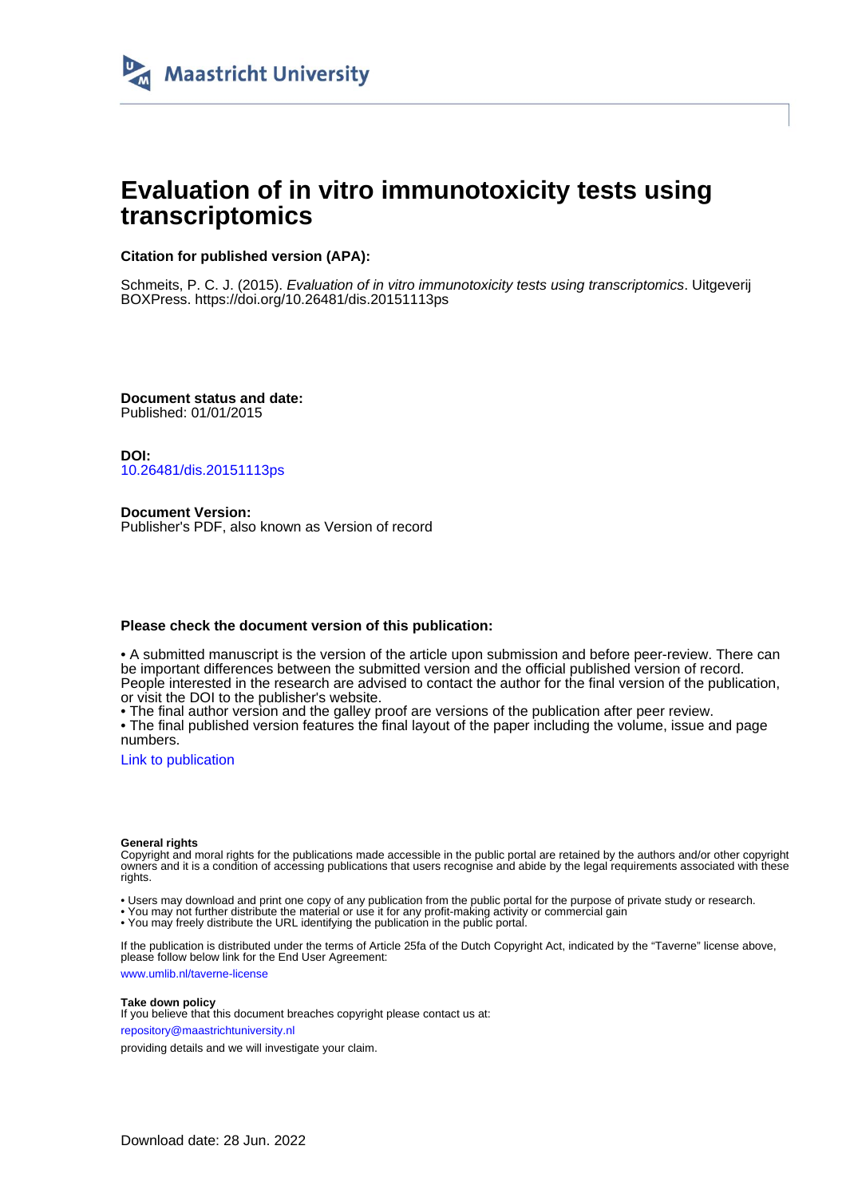

# **Evaluation of in vitro immunotoxicity tests using transcriptomics**

## **Citation for published version (APA):**

Schmeits, P. C. J. (2015). Evaluation of in vitro immunotoxicity tests using transcriptomics. Uitgeverij BOXPress.<https://doi.org/10.26481/dis.20151113ps>

**Document status and date:** Published: 01/01/2015

**DOI:** [10.26481/dis.20151113ps](https://doi.org/10.26481/dis.20151113ps)

**Document Version:** Publisher's PDF, also known as Version of record

## **Please check the document version of this publication:**

• A submitted manuscript is the version of the article upon submission and before peer-review. There can be important differences between the submitted version and the official published version of record. People interested in the research are advised to contact the author for the final version of the publication, or visit the DOI to the publisher's website.

• The final author version and the galley proof are versions of the publication after peer review.

• The final published version features the final layout of the paper including the volume, issue and page numbers.

[Link to publication](https://cris.maastrichtuniversity.nl/en/publications/8a40f12a-af34-4ef4-a989-53a47b8ba8e9)

#### **General rights**

Copyright and moral rights for the publications made accessible in the public portal are retained by the authors and/or other copyright owners and it is a condition of accessing publications that users recognise and abide by the legal requirements associated with these rights.

• Users may download and print one copy of any publication from the public portal for the purpose of private study or research.

• You may not further distribute the material or use it for any profit-making activity or commercial gain

• You may freely distribute the URL identifying the publication in the public portal.

If the publication is distributed under the terms of Article 25fa of the Dutch Copyright Act, indicated by the "Taverne" license above, please follow below link for the End User Agreement:

www.umlib.nl/taverne-license

#### **Take down policy**

If you believe that this document breaches copyright please contact us at: repository@maastrichtuniversity.nl

providing details and we will investigate your claim.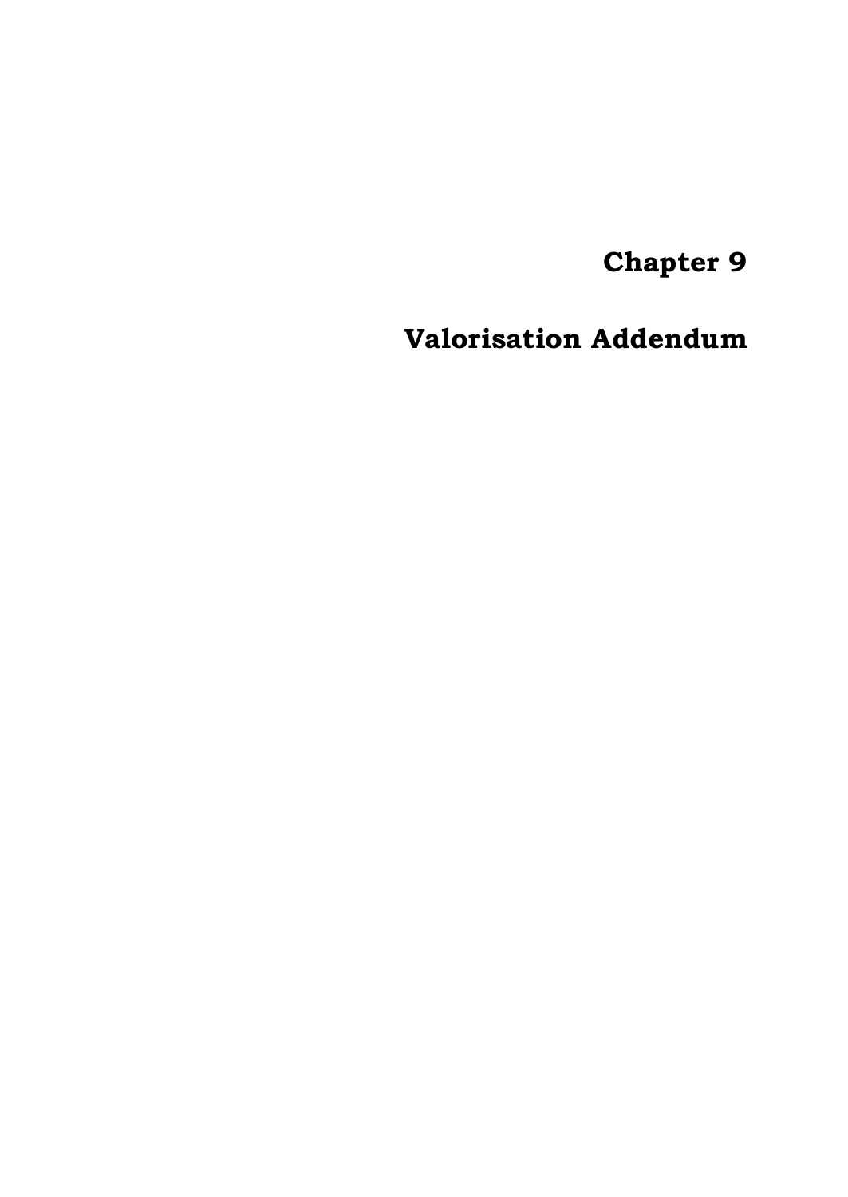**Chapter 9**

**Valorisation Addendum**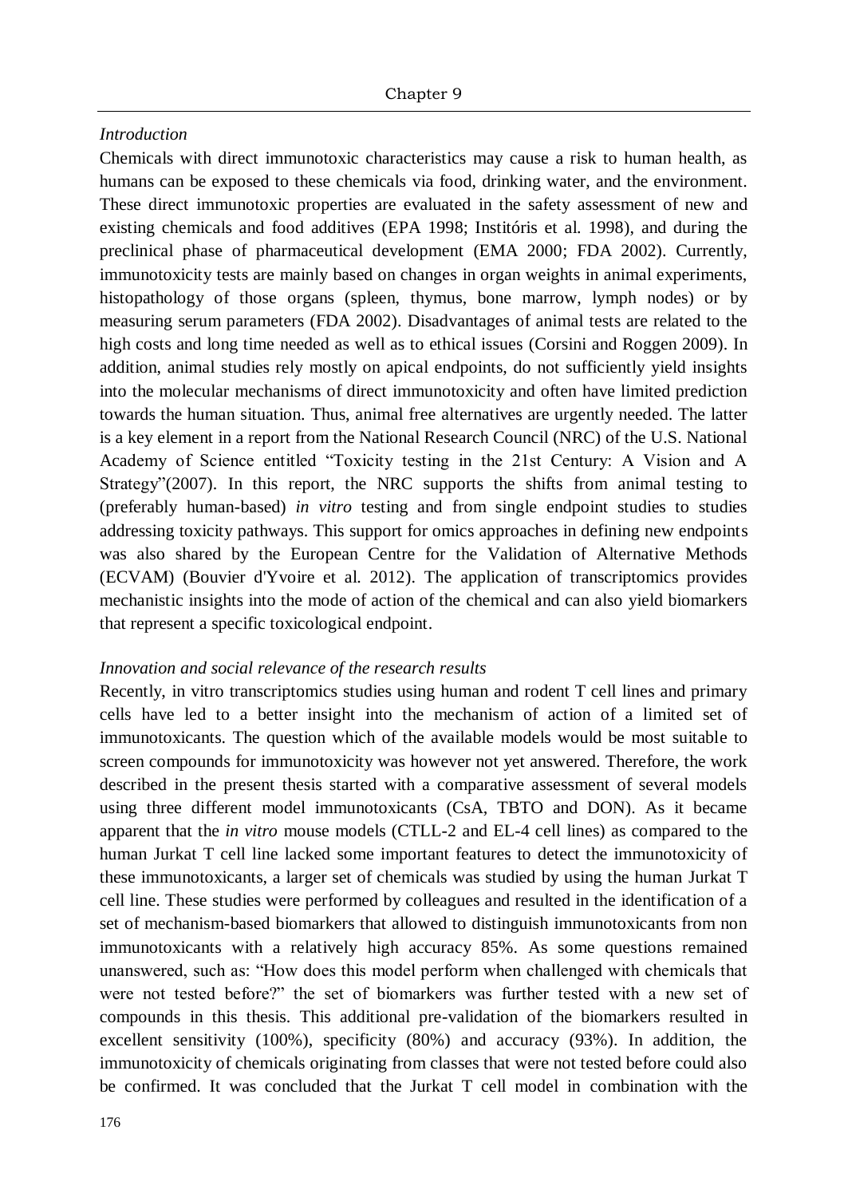## *Introduction*

Chemicals with direct immunotoxic characteristics may cause a risk to human health, as humans can be exposed to these chemicals via food, drinking water, and the environment. These direct immunotoxic properties are evaluated in the safety assessment of new and existing chemicals and food additives (EPA 1998; Institóris et al. 1998), and during the preclinical phase of pharmaceutical development (EMA 2000; FDA 2002). Currently, immunotoxicity tests are mainly based on changes in organ weights in animal experiments, histopathology of those organs (spleen, thymus, bone marrow, lymph nodes) or by measuring serum parameters (FDA 2002). Disadvantages of animal tests are related to the high costs and long time needed as well as to ethical issues (Corsini and Roggen 2009). In addition, animal studies rely mostly on apical endpoints, do not sufficiently yield insights into the molecular mechanisms of direct immunotoxicity and often have limited prediction towards the human situation. Thus, animal free alternatives are urgently needed. The latter is a key element in a report from the National Research Council (NRC) of the U.S. National Academy of Science entitled "Toxicity testing in the 21st Century: A Vision and A Strategy"(2007). In this report, the NRC supports the shifts from animal testing to (preferably human-based) *in vitro* testing and from single endpoint studies to studies addressing toxicity pathways. This support for omics approaches in defining new endpoints was also shared by the European Centre for the Validation of Alternative Methods (ECVAM) (Bouvier d'Yvoire et al. 2012). The application of transcriptomics provides mechanistic insights into the mode of action of the chemical and can also yield biomarkers that represent a specific toxicological endpoint.

## *Innovation and social relevance of the research results*

Recently, in vitro transcriptomics studies using human and rodent T cell lines and primary cells have led to a better insight into the mechanism of action of a limited set of immunotoxicants. The question which of the available models would be most suitable to screen compounds for immunotoxicity was however not yet answered. Therefore, the work described in the present thesis started with a comparative assessment of several models using three different model immunotoxicants (CsA, TBTO and DON). As it became apparent that the *in vitro* mouse models (CTLL-2 and EL-4 cell lines) as compared to the human Jurkat T cell line lacked some important features to detect the immunotoxicity of these immunotoxicants, a larger set of chemicals was studied by using the human Jurkat T cell line. These studies were performed by colleagues and resulted in the identification of a set of mechanism-based biomarkers that allowed to distinguish immunotoxicants from non immunotoxicants with a relatively high accuracy 85%. As some questions remained unanswered, such as: "How does this model perform when challenged with chemicals that were not tested before?" the set of biomarkers was further tested with a new set of compounds in this thesis. This additional pre-validation of the biomarkers resulted in excellent sensitivity (100%), specificity (80%) and accuracy (93%). In addition, the immunotoxicity of chemicals originating from classes that were not tested before could also be confirmed. It was concluded that the Jurkat T cell model in combination with the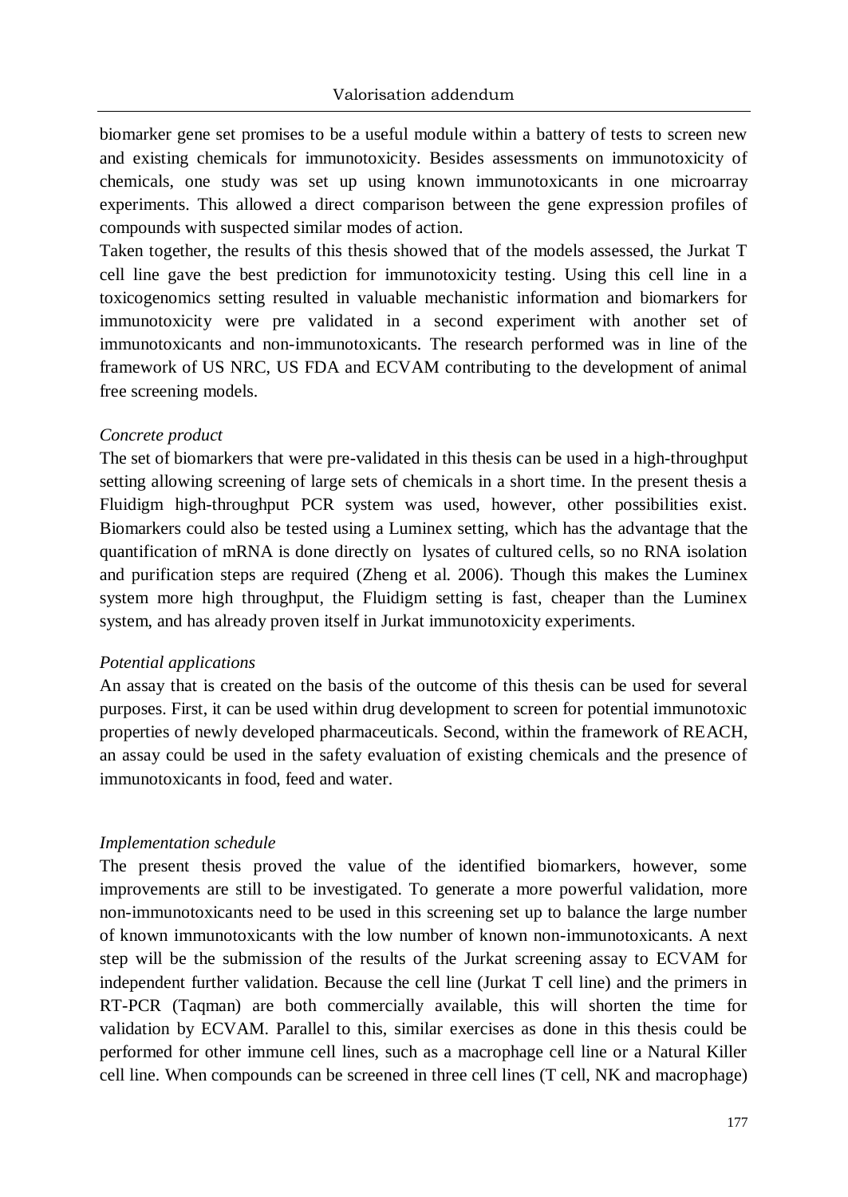biomarker gene set promises to be a useful module within a battery of tests to screen new and existing chemicals for immunotoxicity. Besides assessments on immunotoxicity of chemicals, one study was set up using known immunotoxicants in one microarray experiments. This allowed a direct comparison between the gene expression profiles of compounds with suspected similar modes of action.

Taken together, the results of this thesis showed that of the models assessed, the Jurkat T cell line gave the best prediction for immunotoxicity testing. Using this cell line in a toxicogenomics setting resulted in valuable mechanistic information and biomarkers for immunotoxicity were pre validated in a second experiment with another set of immunotoxicants and non-immunotoxicants. The research performed was in line of the framework of US NRC, US FDA and ECVAM contributing to the development of animal free screening models.

## *Concrete product*

The set of biomarkers that were pre-validated in this thesis can be used in a high-throughput setting allowing screening of large sets of chemicals in a short time. In the present thesis a Fluidigm high-throughput PCR system was used, however, other possibilities exist. Biomarkers could also be tested using a Luminex setting, which has the advantage that the quantification of mRNA is done directly on lysates of cultured cells, so no RNA isolation and purification steps are required (Zheng et al. 2006). Though this makes the Luminex system more high throughput, the Fluidigm setting is fast, cheaper than the Luminex system, and has already proven itself in Jurkat immunotoxicity experiments.

#### *Potential applications*

An assay that is created on the basis of the outcome of this thesis can be used for several purposes. First, it can be used within drug development to screen for potential immunotoxic properties of newly developed pharmaceuticals. Second, within the framework of REACH, an assay could be used in the safety evaluation of existing chemicals and the presence of immunotoxicants in food, feed and water.

## *Implementation schedule*

The present thesis proved the value of the identified biomarkers, however, some improvements are still to be investigated. To generate a more powerful validation, more non-immunotoxicants need to be used in this screening set up to balance the large number of known immunotoxicants with the low number of known non-immunotoxicants. A next step will be the submission of the results of the Jurkat screening assay to ECVAM for independent further validation. Because the cell line (Jurkat T cell line) and the primers in RT-PCR (Taqman) are both commercially available, this will shorten the time for validation by ECVAM. Parallel to this, similar exercises as done in this thesis could be performed for other immune cell lines, such as a macrophage cell line or a Natural Killer cell line. When compounds can be screened in three cell lines (T cell, NK and macrophage)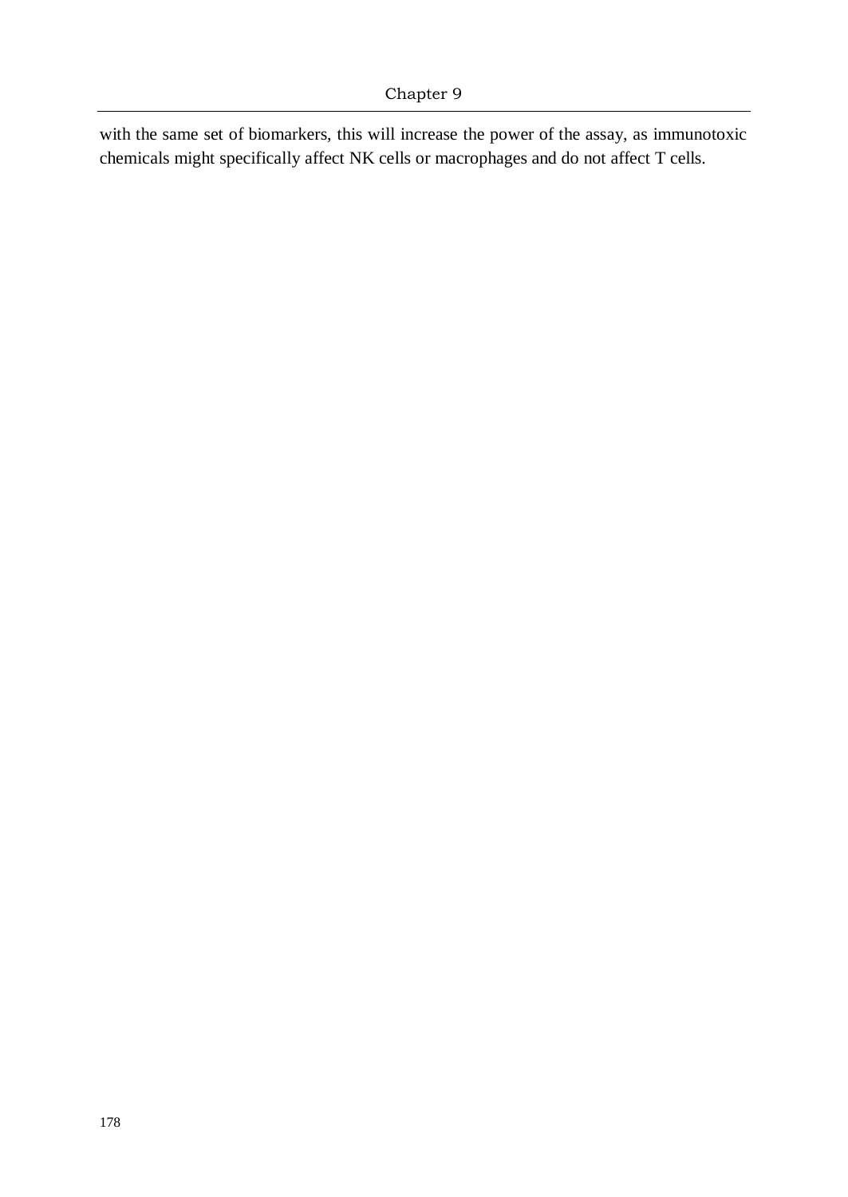with the same set of biomarkers, this will increase the power of the assay, as immunotoxic chemicals might specifically affect NK cells or macrophages and do not affect T cells.